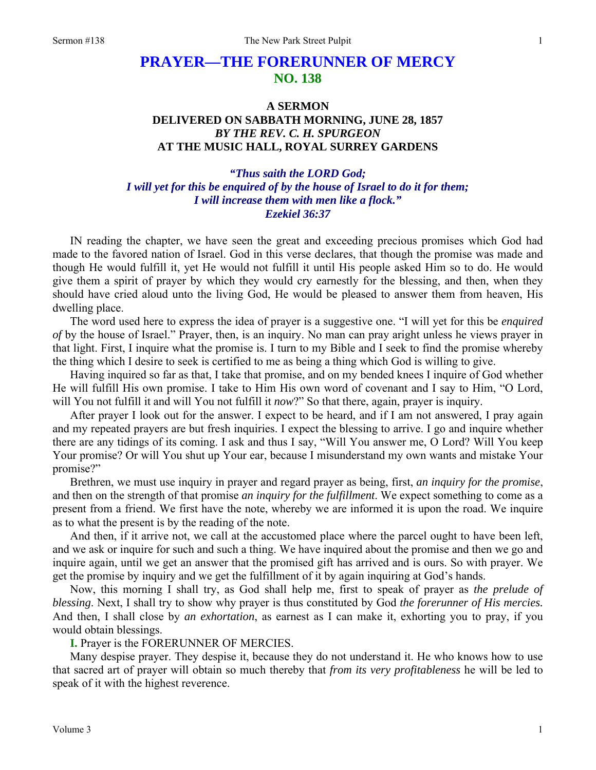## **PRAYER—THE FORERUNNER OF MERCY NO. 138**

## **A SERMON DELIVERED ON SABBATH MORNING, JUNE 28, 1857**  *BY THE REV. C. H. SPURGEON*  **AT THE MUSIC HALL, ROYAL SURREY GARDENS**

## *"Thus saith the LORD God; I will yet for this be enquired of by the house of Israel to do it for them; I will increase them with men like a flock." Ezekiel 36:37*

IN reading the chapter, we have seen the great and exceeding precious promises which God had made to the favored nation of Israel. God in this verse declares, that though the promise was made and though He would fulfill it, yet He would not fulfill it until His people asked Him so to do. He would give them a spirit of prayer by which they would cry earnestly for the blessing, and then, when they should have cried aloud unto the living God, He would be pleased to answer them from heaven, His dwelling place.

The word used here to express the idea of prayer is a suggestive one. "I will yet for this be *enquired of* by the house of Israel." Prayer, then, is an inquiry. No man can pray aright unless he views prayer in that light. First, I inquire what the promise is. I turn to my Bible and I seek to find the promise whereby the thing which I desire to seek is certified to me as being a thing which God is willing to give.

Having inquired so far as that, I take that promise, and on my bended knees I inquire of God whether He will fulfill His own promise. I take to Him His own word of covenant and I say to Him, "O Lord, will You not fulfill it and will You not fulfill it *now*?" So that there, again, prayer is inquiry.

After prayer I look out for the answer. I expect to be heard, and if I am not answered, I pray again and my repeated prayers are but fresh inquiries. I expect the blessing to arrive. I go and inquire whether there are any tidings of its coming. I ask and thus I say, "Will You answer me, O Lord? Will You keep Your promise? Or will You shut up Your ear, because I misunderstand my own wants and mistake Your promise?"

Brethren, we must use inquiry in prayer and regard prayer as being, first, *an inquiry for the promise*, and then on the strength of that promise *an inquiry for the fulfillment*. We expect something to come as a present from a friend. We first have the note, whereby we are informed it is upon the road. We inquire as to what the present is by the reading of the note.

And then, if it arrive not, we call at the accustomed place where the parcel ought to have been left, and we ask or inquire for such and such a thing. We have inquired about the promise and then we go and inquire again, until we get an answer that the promised gift has arrived and is ours. So with prayer. We get the promise by inquiry and we get the fulfillment of it by again inquiring at God's hands.

Now, this morning I shall try, as God shall help me, first to speak of prayer as *the prelude of blessing*. Next, I shall try to show why prayer is thus constituted by God *the forerunner of His mercies.* And then, I shall close by *an exhortation*, as earnest as I can make it, exhorting you to pray, if you would obtain blessings.

**I.** Prayer is the FORERUNNER OF MERCIES.

Many despise prayer. They despise it, because they do not understand it. He who knows how to use that sacred art of prayer will obtain so much thereby that *from its very profitableness* he will be led to speak of it with the highest reverence.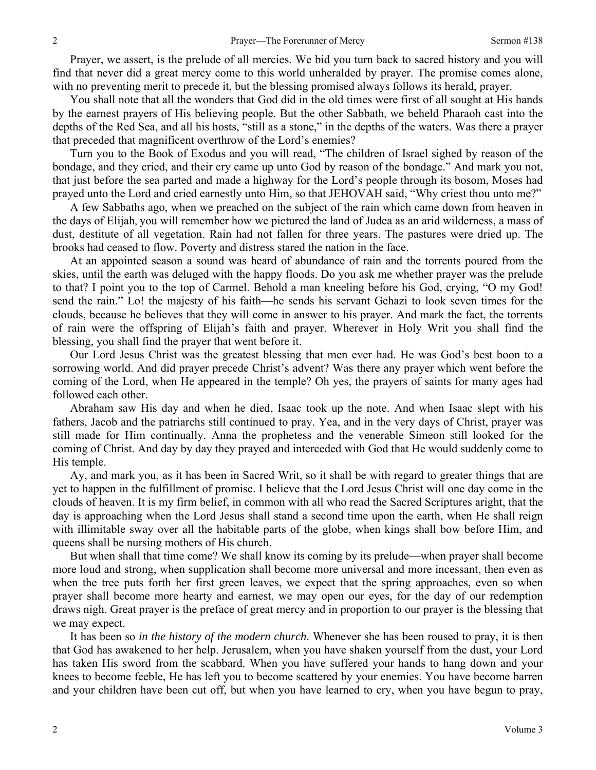Prayer, we assert, is the prelude of all mercies. We bid you turn back to sacred history and you will find that never did a great mercy come to this world unheralded by prayer. The promise comes alone, with no preventing merit to precede it, but the blessing promised always follows its herald, prayer.

You shall note that all the wonders that God did in the old times were first of all sought at His hands by the earnest prayers of His believing people. But the other Sabbath, we beheld Pharaoh cast into the depths of the Red Sea, and all his hosts, "still as a stone," in the depths of the waters. Was there a prayer that preceded that magnificent overthrow of the Lord's enemies?

Turn you to the Book of Exodus and you will read, "The children of Israel sighed by reason of the bondage, and they cried, and their cry came up unto God by reason of the bondage." And mark you not, that just before the sea parted and made a highway for the Lord's people through its bosom, Moses had prayed unto the Lord and cried earnestly unto Him, so that JEHOVAH said, "Why criest thou unto me?"

A few Sabbaths ago, when we preached on the subject of the rain which came down from heaven in the days of Elijah, you will remember how we pictured the land of Judea as an arid wilderness, a mass of dust, destitute of all vegetation. Rain had not fallen for three years. The pastures were dried up. The brooks had ceased to flow. Poverty and distress stared the nation in the face.

At an appointed season a sound was heard of abundance of rain and the torrents poured from the skies, until the earth was deluged with the happy floods. Do you ask me whether prayer was the prelude to that? I point you to the top of Carmel. Behold a man kneeling before his God, crying, "O my God! send the rain." Lo! the majesty of his faith—he sends his servant Gehazi to look seven times for the clouds, because he believes that they will come in answer to his prayer. And mark the fact, the torrents of rain were the offspring of Elijah's faith and prayer. Wherever in Holy Writ you shall find the blessing, you shall find the prayer that went before it.

Our Lord Jesus Christ was the greatest blessing that men ever had. He was God's best boon to a sorrowing world. And did prayer precede Christ's advent? Was there any prayer which went before the coming of the Lord, when He appeared in the temple? Oh yes, the prayers of saints for many ages had followed each other.

Abraham saw His day and when he died, Isaac took up the note. And when Isaac slept with his fathers, Jacob and the patriarchs still continued to pray. Yea, and in the very days of Christ, prayer was still made for Him continually. Anna the prophetess and the venerable Simeon still looked for the coming of Christ. And day by day they prayed and interceded with God that He would suddenly come to His temple.

Ay, and mark you, as it has been in Sacred Writ, so it shall be with regard to greater things that are yet to happen in the fulfillment of promise. I believe that the Lord Jesus Christ will one day come in the clouds of heaven. It is my firm belief, in common with all who read the Sacred Scriptures aright, that the day is approaching when the Lord Jesus shall stand a second time upon the earth, when He shall reign with illimitable sway over all the habitable parts of the globe, when kings shall bow before Him, and queens shall be nursing mothers of His church.

But when shall that time come? We shall know its coming by its prelude—when prayer shall become more loud and strong, when supplication shall become more universal and more incessant, then even as when the tree puts forth her first green leaves, we expect that the spring approaches, even so when prayer shall become more hearty and earnest, we may open our eyes, for the day of our redemption draws nigh. Great prayer is the preface of great mercy and in proportion to our prayer is the blessing that we may expect.

It has been so *in the history of the modern church*. Whenever she has been roused to pray, it is then that God has awakened to her help. Jerusalem, when you have shaken yourself from the dust, your Lord has taken His sword from the scabbard. When you have suffered your hands to hang down and your knees to become feeble, He has left you to become scattered by your enemies. You have become barren and your children have been cut off, but when you have learned to cry, when you have begun to pray,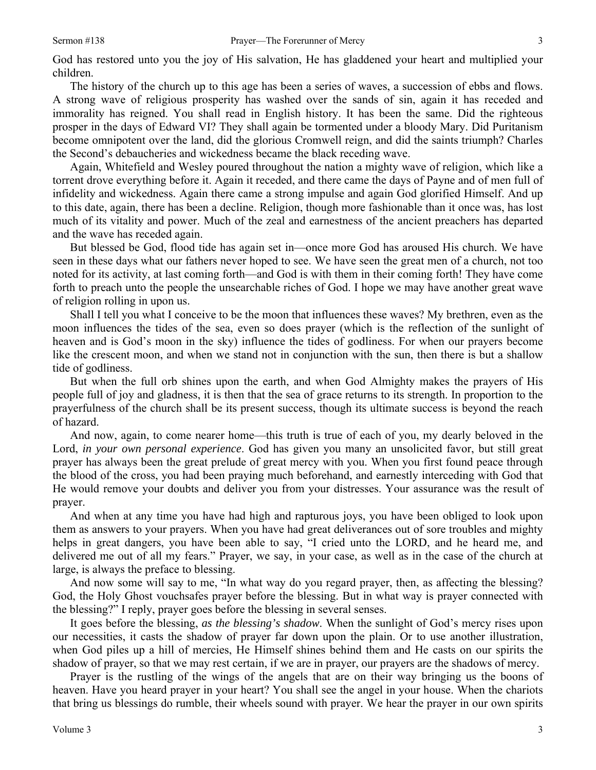God has restored unto you the joy of His salvation, He has gladdened your heart and multiplied your children.

The history of the church up to this age has been a series of waves, a succession of ebbs and flows. A strong wave of religious prosperity has washed over the sands of sin, again it has receded and immorality has reigned. You shall read in English history. It has been the same. Did the righteous prosper in the days of Edward VI? They shall again be tormented under a bloody Mary. Did Puritanism become omnipotent over the land, did the glorious Cromwell reign, and did the saints triumph? Charles the Second's debaucheries and wickedness became the black receding wave.

Again, Whitefield and Wesley poured throughout the nation a mighty wave of religion, which like a torrent drove everything before it. Again it receded, and there came the days of Payne and of men full of infidelity and wickedness. Again there came a strong impulse and again God glorified Himself. And up to this date, again, there has been a decline. Religion, though more fashionable than it once was, has lost much of its vitality and power. Much of the zeal and earnestness of the ancient preachers has departed and the wave has receded again.

But blessed be God, flood tide has again set in—once more God has aroused His church. We have seen in these days what our fathers never hoped to see. We have seen the great men of a church, not too noted for its activity, at last coming forth—and God is with them in their coming forth! They have come forth to preach unto the people the unsearchable riches of God. I hope we may have another great wave of religion rolling in upon us.

Shall I tell you what I conceive to be the moon that influences these waves? My brethren, even as the moon influences the tides of the sea, even so does prayer (which is the reflection of the sunlight of heaven and is God's moon in the sky) influence the tides of godliness. For when our prayers become like the crescent moon, and when we stand not in conjunction with the sun, then there is but a shallow tide of godliness.

But when the full orb shines upon the earth, and when God Almighty makes the prayers of His people full of joy and gladness, it is then that the sea of grace returns to its strength. In proportion to the prayerfulness of the church shall be its present success, though its ultimate success is beyond the reach of hazard.

And now, again, to come nearer home—this truth is true of each of you, my dearly beloved in the Lord, *in your own personal experience*. God has given you many an unsolicited favor, but still great prayer has always been the great prelude of great mercy with you. When you first found peace through the blood of the cross, you had been praying much beforehand, and earnestly interceding with God that He would remove your doubts and deliver you from your distresses. Your assurance was the result of prayer.

And when at any time you have had high and rapturous joys, you have been obliged to look upon them as answers to your prayers. When you have had great deliverances out of sore troubles and mighty helps in great dangers, you have been able to say, "I cried unto the LORD, and he heard me, and delivered me out of all my fears." Prayer, we say, in your case, as well as in the case of the church at large, is always the preface to blessing.

And now some will say to me, "In what way do you regard prayer, then, as affecting the blessing? God, the Holy Ghost vouchsafes prayer before the blessing. But in what way is prayer connected with the blessing?" I reply, prayer goes before the blessing in several senses.

It goes before the blessing, *as the blessing's shadow*. When the sunlight of God's mercy rises upon our necessities, it casts the shadow of prayer far down upon the plain. Or to use another illustration, when God piles up a hill of mercies, He Himself shines behind them and He casts on our spirits the shadow of prayer, so that we may rest certain, if we are in prayer, our prayers are the shadows of mercy.

Prayer is the rustling of the wings of the angels that are on their way bringing us the boons of heaven. Have you heard prayer in your heart? You shall see the angel in your house. When the chariots that bring us blessings do rumble, their wheels sound with prayer. We hear the prayer in our own spirits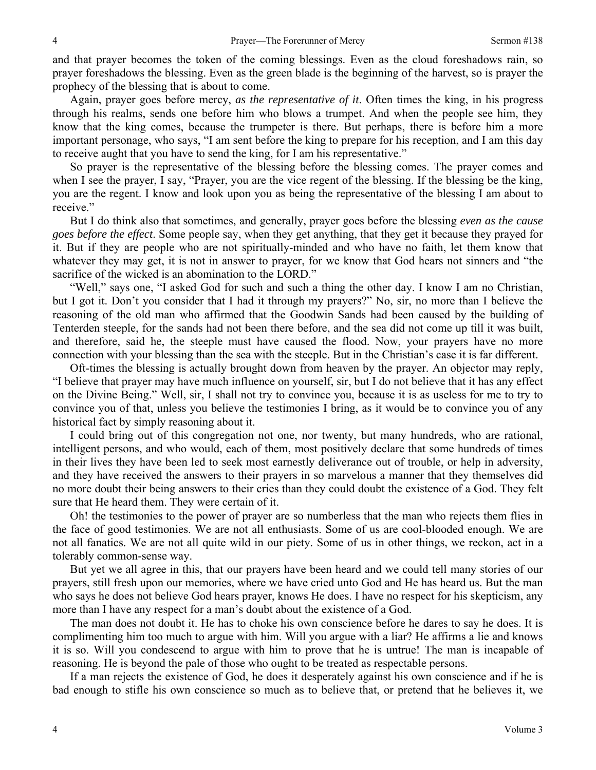and that prayer becomes the token of the coming blessings. Even as the cloud foreshadows rain, so prayer foreshadows the blessing. Even as the green blade is the beginning of the harvest, so is prayer the prophecy of the blessing that is about to come.

Again, prayer goes before mercy, *as the representative of it*. Often times the king, in his progress through his realms, sends one before him who blows a trumpet. And when the people see him, they know that the king comes, because the trumpeter is there. But perhaps, there is before him a more important personage, who says, "I am sent before the king to prepare for his reception, and I am this day to receive aught that you have to send the king, for I am his representative."

So prayer is the representative of the blessing before the blessing comes. The prayer comes and when I see the prayer, I say, "Prayer, you are the vice regent of the blessing. If the blessing be the king, you are the regent. I know and look upon you as being the representative of the blessing I am about to receive."

But I do think also that sometimes, and generally, prayer goes before the blessing *even as the cause goes before the effect*. Some people say, when they get anything, that they get it because they prayed for it. But if they are people who are not spiritually-minded and who have no faith, let them know that whatever they may get, it is not in answer to prayer, for we know that God hears not sinners and "the sacrifice of the wicked is an abomination to the LORD."

"Well," says one, "I asked God for such and such a thing the other day. I know I am no Christian, but I got it. Don't you consider that I had it through my prayers?" No, sir, no more than I believe the reasoning of the old man who affirmed that the Goodwin Sands had been caused by the building of Tenterden steeple, for the sands had not been there before, and the sea did not come up till it was built, and therefore, said he, the steeple must have caused the flood. Now, your prayers have no more connection with your blessing than the sea with the steeple. But in the Christian's case it is far different.

Oft-times the blessing is actually brought down from heaven by the prayer. An objector may reply, "I believe that prayer may have much influence on yourself, sir, but I do not believe that it has any effect on the Divine Being." Well, sir, I shall not try to convince you, because it is as useless for me to try to convince you of that, unless you believe the testimonies I bring, as it would be to convince you of any historical fact by simply reasoning about it.

I could bring out of this congregation not one, nor twenty, but many hundreds, who are rational, intelligent persons, and who would, each of them, most positively declare that some hundreds of times in their lives they have been led to seek most earnestly deliverance out of trouble, or help in adversity, and they have received the answers to their prayers in so marvelous a manner that they themselves did no more doubt their being answers to their cries than they could doubt the existence of a God. They felt sure that He heard them. They were certain of it.

Oh! the testimonies to the power of prayer are so numberless that the man who rejects them flies in the face of good testimonies. We are not all enthusiasts. Some of us are cool-blooded enough. We are not all fanatics. We are not all quite wild in our piety. Some of us in other things, we reckon, act in a tolerably common-sense way.

But yet we all agree in this, that our prayers have been heard and we could tell many stories of our prayers, still fresh upon our memories, where we have cried unto God and He has heard us. But the man who says he does not believe God hears prayer, knows He does. I have no respect for his skepticism, any more than I have any respect for a man's doubt about the existence of a God.

The man does not doubt it. He has to choke his own conscience before he dares to say he does. It is complimenting him too much to argue with him. Will you argue with a liar? He affirms a lie and knows it is so. Will you condescend to argue with him to prove that he is untrue! The man is incapable of reasoning. He is beyond the pale of those who ought to be treated as respectable persons.

If a man rejects the existence of God, he does it desperately against his own conscience and if he is bad enough to stifle his own conscience so much as to believe that, or pretend that he believes it, we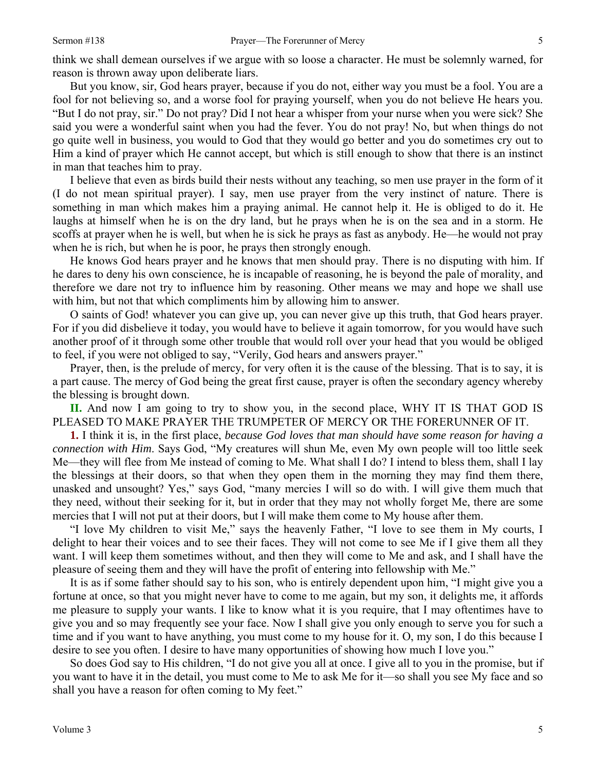think we shall demean ourselves if we argue with so loose a character. He must be solemnly warned, for reason is thrown away upon deliberate liars.

But you know, sir, God hears prayer, because if you do not, either way you must be a fool. You are a fool for not believing so, and a worse fool for praying yourself, when you do not believe He hears you. "But I do not pray, sir." Do not pray? Did I not hear a whisper from your nurse when you were sick? She said you were a wonderful saint when you had the fever. You do not pray! No, but when things do not go quite well in business, you would to God that they would go better and you do sometimes cry out to Him a kind of prayer which He cannot accept, but which is still enough to show that there is an instinct in man that teaches him to pray.

I believe that even as birds build their nests without any teaching, so men use prayer in the form of it (I do not mean spiritual prayer). I say, men use prayer from the very instinct of nature. There is something in man which makes him a praying animal. He cannot help it. He is obliged to do it. He laughs at himself when he is on the dry land, but he prays when he is on the sea and in a storm. He scoffs at prayer when he is well, but when he is sick he prays as fast as anybody. He—he would not pray when he is rich, but when he is poor, he prays then strongly enough.

He knows God hears prayer and he knows that men should pray. There is no disputing with him. If he dares to deny his own conscience, he is incapable of reasoning, he is beyond the pale of morality, and therefore we dare not try to influence him by reasoning. Other means we may and hope we shall use with him, but not that which compliments him by allowing him to answer.

O saints of God! whatever you can give up, you can never give up this truth, that God hears prayer. For if you did disbelieve it today, you would have to believe it again tomorrow, for you would have such another proof of it through some other trouble that would roll over your head that you would be obliged to feel, if you were not obliged to say, "Verily, God hears and answers prayer."

Prayer, then, is the prelude of mercy, for very often it is the cause of the blessing. That is to say, it is a part cause. The mercy of God being the great first cause, prayer is often the secondary agency whereby the blessing is brought down.

**II.** And now I am going to try to show you, in the second place, WHY IT IS THAT GOD IS PLEASED TO MAKE PRAYER THE TRUMPETER OF MERCY OR THE FORERUNNER OF IT.

**1.** I think it is, in the first place, *because God loves that man should have some reason for having a connection with Him*. Says God, "My creatures will shun Me, even My own people will too little seek Me—they will flee from Me instead of coming to Me. What shall I do? I intend to bless them, shall I lay the blessings at their doors, so that when they open them in the morning they may find them there, unasked and unsought? Yes," says God, "many mercies I will so do with. I will give them much that they need, without their seeking for it, but in order that they may not wholly forget Me, there are some mercies that I will not put at their doors, but I will make them come to My house after them.

"I love My children to visit Me," says the heavenly Father, "I love to see them in My courts, I delight to hear their voices and to see their faces. They will not come to see Me if I give them all they want. I will keep them sometimes without, and then they will come to Me and ask, and I shall have the pleasure of seeing them and they will have the profit of entering into fellowship with Me."

It is as if some father should say to his son, who is entirely dependent upon him, "I might give you a fortune at once, so that you might never have to come to me again, but my son, it delights me, it affords me pleasure to supply your wants. I like to know what it is you require, that I may oftentimes have to give you and so may frequently see your face. Now I shall give you only enough to serve you for such a time and if you want to have anything, you must come to my house for it. O, my son, I do this because I desire to see you often. I desire to have many opportunities of showing how much I love you."

So does God say to His children, "I do not give you all at once. I give all to you in the promise, but if you want to have it in the detail, you must come to Me to ask Me for it—so shall you see My face and so shall you have a reason for often coming to My feet."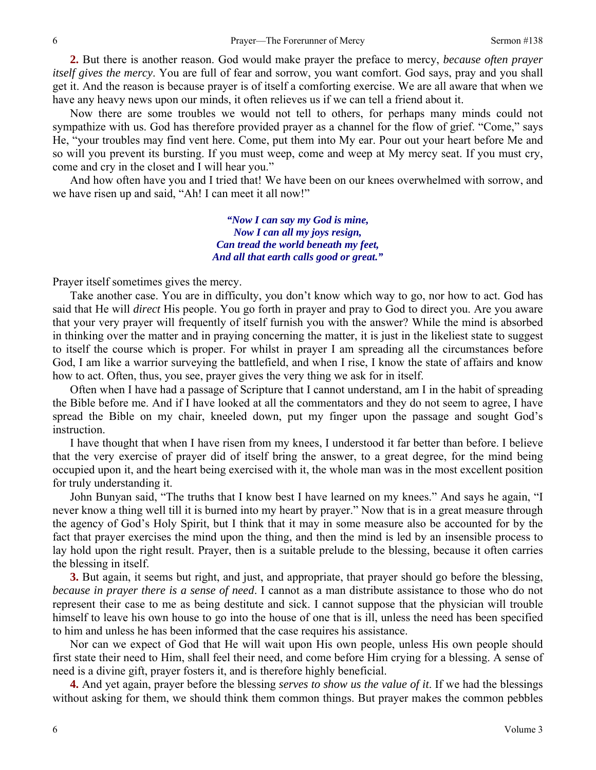**2.** But there is another reason. God would make prayer the preface to mercy, *because often prayer itself gives the mercy*. You are full of fear and sorrow, you want comfort. God says, pray and you shall get it. And the reason is because prayer is of itself a comforting exercise. We are all aware that when we have any heavy news upon our minds, it often relieves us if we can tell a friend about it.

Now there are some troubles we would not tell to others, for perhaps many minds could not sympathize with us. God has therefore provided prayer as a channel for the flow of grief. "Come," says He, "your troubles may find vent here. Come, put them into My ear. Pour out your heart before Me and so will you prevent its bursting. If you must weep, come and weep at My mercy seat. If you must cry, come and cry in the closet and I will hear you."

And how often have you and I tried that! We have been on our knees overwhelmed with sorrow, and we have risen up and said, "Ah! I can meet it all now!"

> *"Now I can say my God is mine, Now I can all my joys resign, Can tread the world beneath my feet, And all that earth calls good or great."*

Prayer itself sometimes gives the mercy.

Take another case. You are in difficulty, you don't know which way to go, nor how to act. God has said that He will *direct* His people. You go forth in prayer and pray to God to direct you. Are you aware that your very prayer will frequently of itself furnish you with the answer? While the mind is absorbed in thinking over the matter and in praying concerning the matter, it is just in the likeliest state to suggest to itself the course which is proper. For whilst in prayer I am spreading all the circumstances before God, I am like a warrior surveying the battlefield, and when I rise, I know the state of affairs and know how to act. Often, thus, you see, prayer gives the very thing we ask for in itself.

Often when I have had a passage of Scripture that I cannot understand, am I in the habit of spreading the Bible before me. And if I have looked at all the commentators and they do not seem to agree, I have spread the Bible on my chair, kneeled down, put my finger upon the passage and sought God's instruction.

I have thought that when I have risen from my knees, I understood it far better than before. I believe that the very exercise of prayer did of itself bring the answer, to a great degree, for the mind being occupied upon it, and the heart being exercised with it, the whole man was in the most excellent position for truly understanding it.

John Bunyan said, "The truths that I know best I have learned on my knees." And says he again, "I never know a thing well till it is burned into my heart by prayer." Now that is in a great measure through the agency of God's Holy Spirit, but I think that it may in some measure also be accounted for by the fact that prayer exercises the mind upon the thing, and then the mind is led by an insensible process to lay hold upon the right result. Prayer, then is a suitable prelude to the blessing, because it often carries the blessing in itself.

**3.** But again, it seems but right, and just, and appropriate, that prayer should go before the blessing, *because in prayer there is a sense of need*. I cannot as a man distribute assistance to those who do not represent their case to me as being destitute and sick. I cannot suppose that the physician will trouble himself to leave his own house to go into the house of one that is ill, unless the need has been specified to him and unless he has been informed that the case requires his assistance.

Nor can we expect of God that He will wait upon His own people, unless His own people should first state their need to Him, shall feel their need, and come before Him crying for a blessing. A sense of need is a divine gift, prayer fosters it, and is therefore highly beneficial.

**4.** And yet again, prayer before the blessing *serves to show us the value of it*. If we had the blessings without asking for them, we should think them common things. But prayer makes the common pebbles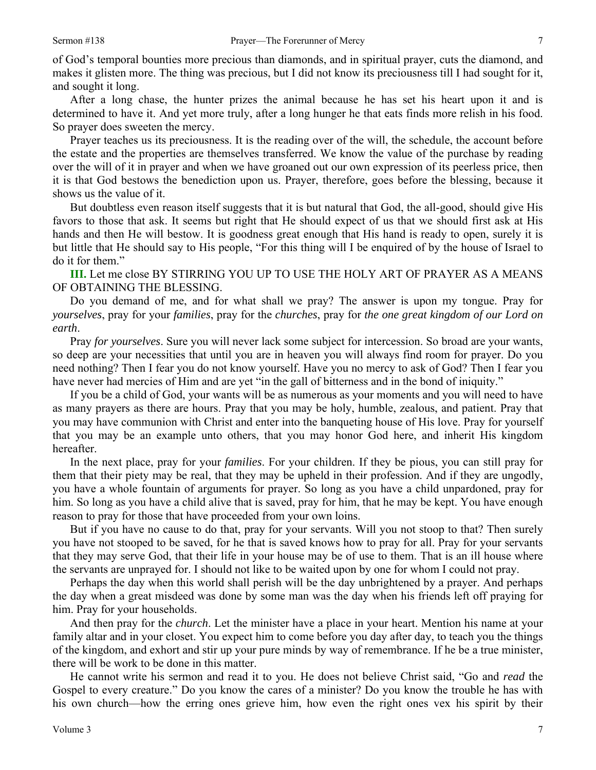of God's temporal bounties more precious than diamonds, and in spiritual prayer, cuts the diamond, and makes it glisten more. The thing was precious, but I did not know its preciousness till I had sought for it, and sought it long.

After a long chase, the hunter prizes the animal because he has set his heart upon it and is determined to have it. And yet more truly, after a long hunger he that eats finds more relish in his food. So prayer does sweeten the mercy.

Prayer teaches us its preciousness. It is the reading over of the will, the schedule, the account before the estate and the properties are themselves transferred. We know the value of the purchase by reading over the will of it in prayer and when we have groaned out our own expression of its peerless price, then it is that God bestows the benediction upon us. Prayer, therefore, goes before the blessing, because it shows us the value of it.

But doubtless even reason itself suggests that it is but natural that God, the all-good, should give His favors to those that ask. It seems but right that He should expect of us that we should first ask at His hands and then He will bestow. It is goodness great enough that His hand is ready to open, surely it is but little that He should say to His people, "For this thing will I be enquired of by the house of Israel to do it for them."

**III.** Let me close BY STIRRING YOU UP TO USE THE HOLY ART OF PRAYER AS A MEANS OF OBTAINING THE BLESSING.

Do you demand of me, and for what shall we pray? The answer is upon my tongue. Pray for *yourselves*, pray for your *families*, pray for the *churches*, pray for *the one great kingdom of our Lord on earth*.

Pray *for yourselves*. Sure you will never lack some subject for intercession. So broad are your wants, so deep are your necessities that until you are in heaven you will always find room for prayer. Do you need nothing? Then I fear you do not know yourself. Have you no mercy to ask of God? Then I fear you have never had mercies of Him and are yet "in the gall of bitterness and in the bond of iniquity."

If you be a child of God, your wants will be as numerous as your moments and you will need to have as many prayers as there are hours. Pray that you may be holy, humble, zealous, and patient. Pray that you may have communion with Christ and enter into the banqueting house of His love. Pray for yourself that you may be an example unto others, that you may honor God here, and inherit His kingdom hereafter.

In the next place, pray for your *families*. For your children. If they be pious, you can still pray for them that their piety may be real, that they may be upheld in their profession. And if they are ungodly, you have a whole fountain of arguments for prayer. So long as you have a child unpardoned, pray for him. So long as you have a child alive that is saved, pray for him, that he may be kept. You have enough reason to pray for those that have proceeded from your own loins.

But if you have no cause to do that, pray for your servants. Will you not stoop to that? Then surely you have not stooped to be saved, for he that is saved knows how to pray for all. Pray for your servants that they may serve God, that their life in your house may be of use to them. That is an ill house where the servants are unprayed for. I should not like to be waited upon by one for whom I could not pray.

Perhaps the day when this world shall perish will be the day unbrightened by a prayer. And perhaps the day when a great misdeed was done by some man was the day when his friends left off praying for him. Pray for your households.

And then pray for the *church*. Let the minister have a place in your heart. Mention his name at your family altar and in your closet. You expect him to come before you day after day, to teach you the things of the kingdom, and exhort and stir up your pure minds by way of remembrance. If he be a true minister, there will be work to be done in this matter.

He cannot write his sermon and read it to you. He does not believe Christ said, "Go and *read* the Gospel to every creature." Do you know the cares of a minister? Do you know the trouble he has with his own church—how the erring ones grieve him, how even the right ones vex his spirit by their

7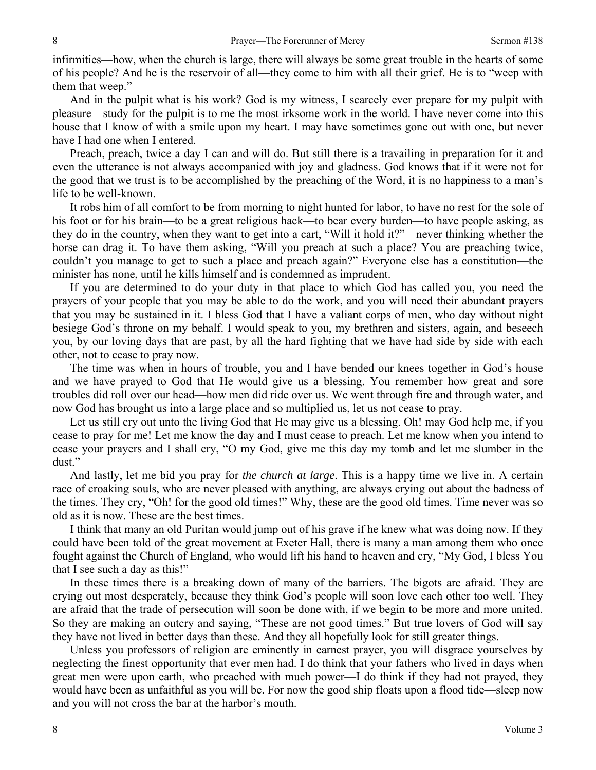infirmities—how, when the church is large, there will always be some great trouble in the hearts of some of his people? And he is the reservoir of all—they come to him with all their grief. He is to "weep with them that weep."

And in the pulpit what is his work? God is my witness, I scarcely ever prepare for my pulpit with pleasure—study for the pulpit is to me the most irksome work in the world. I have never come into this house that I know of with a smile upon my heart. I may have sometimes gone out with one, but never have I had one when I entered.

Preach, preach, twice a day I can and will do. But still there is a travailing in preparation for it and even the utterance is not always accompanied with joy and gladness. God knows that if it were not for the good that we trust is to be accomplished by the preaching of the Word, it is no happiness to a man's life to be well-known.

It robs him of all comfort to be from morning to night hunted for labor, to have no rest for the sole of his foot or for his brain—to be a great religious hack—to bear every burden—to have people asking, as they do in the country, when they want to get into a cart, "Will it hold it?"—never thinking whether the horse can drag it. To have them asking, "Will you preach at such a place? You are preaching twice, couldn't you manage to get to such a place and preach again?" Everyone else has a constitution—the minister has none, until he kills himself and is condemned as imprudent.

If you are determined to do your duty in that place to which God has called you, you need the prayers of your people that you may be able to do the work, and you will need their abundant prayers that you may be sustained in it. I bless God that I have a valiant corps of men, who day without night besiege God's throne on my behalf. I would speak to you, my brethren and sisters, again, and beseech you, by our loving days that are past, by all the hard fighting that we have had side by side with each other, not to cease to pray now.

The time was when in hours of trouble, you and I have bended our knees together in God's house and we have prayed to God that He would give us a blessing. You remember how great and sore troubles did roll over our head—how men did ride over us. We went through fire and through water, and now God has brought us into a large place and so multiplied us, let us not cease to pray.

Let us still cry out unto the living God that He may give us a blessing. Oh! may God help me, if you cease to pray for me! Let me know the day and I must cease to preach. Let me know when you intend to cease your prayers and I shall cry, "O my God, give me this day my tomb and let me slumber in the dust."

And lastly, let me bid you pray for *the church at large*. This is a happy time we live in. A certain race of croaking souls, who are never pleased with anything, are always crying out about the badness of the times. They cry, "Oh! for the good old times!" Why, these are the good old times. Time never was so old as it is now. These are the best times.

I think that many an old Puritan would jump out of his grave if he knew what was doing now. If they could have been told of the great movement at Exeter Hall, there is many a man among them who once fought against the Church of England, who would lift his hand to heaven and cry, "My God, I bless You that I see such a day as this!"

In these times there is a breaking down of many of the barriers. The bigots are afraid. They are crying out most desperately, because they think God's people will soon love each other too well. They are afraid that the trade of persecution will soon be done with, if we begin to be more and more united. So they are making an outcry and saying, "These are not good times." But true lovers of God will say they have not lived in better days than these. And they all hopefully look for still greater things.

Unless you professors of religion are eminently in earnest prayer, you will disgrace yourselves by neglecting the finest opportunity that ever men had. I do think that your fathers who lived in days when great men were upon earth, who preached with much power—I do think if they had not prayed, they would have been as unfaithful as you will be. For now the good ship floats upon a flood tide—sleep now and you will not cross the bar at the harbor's mouth.